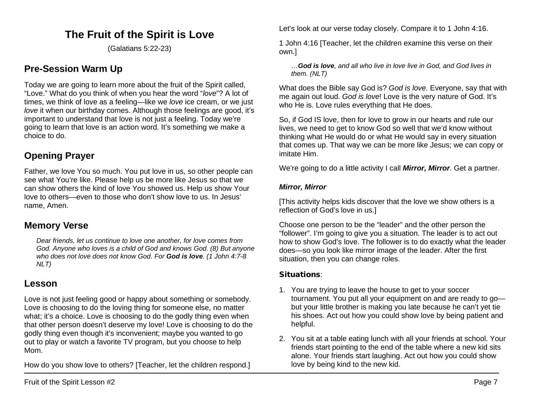# **The Fruit of the Spirit is Love**

(Galatians 5:22-23)

### **Pre-Session Warm Up**

Today we are going to learn more about the fruit of the Spirit called, "Love." What do you think of when you hear the word "*love*"? A lot of times, we think of love as a feeling—like we *love* ice cream, or we just *love* it when our birthday comes. Although those feelings are good, it's important to understand that love is not just a feeling. Today we're going to learn that love is an action word. It's something we make a choice to do.

## **Opening Prayer**

Father, we love You so much. You put love in us, so other people can see what You're like. Please help us be more like Jesus so that we can show others the kind of love You showed us. Help us show Your love to others—even to those who don't show love to us. In Jesus' name, Amen.

### **Memory Verse**

*Dear friends, let us continue to love one another, for love comes from God. Anyone who loves is a child of God and knows God. (8) But anyone who does not love does not know God. For God is love. (1 John 4:7-8 NLT)*

### **Lesson**

Love is not just feeling good or happy about something or somebody. Love is choosing to do the loving thing for someone else, no matter what; it's a choice. Love is choosing to do the godly thing even when that other person doesn't deserve my love! Love is choosing to do the godly thing even though it's inconvenient; maybe you wanted to go out to play or watch a favorite TV program, but you choose to help Mom.

How do you show love to others? [Teacher, let the children respond.]

Let's look at our verse today closely. Compare it to 1 John 4:16.

1 John 4:16 [Teacher, let the children examine this verse on their own.]

*…God is love, and all who live in love live in God, and God lives in them. (NLT)*

What does the Bible say God is? *God is love*. Everyone, say that with me again out loud. *God is love*! Love is the very nature of God. It's who He is. Love rules everything that He does.

So, if God IS love, then for love to grow in our hearts and rule our lives, we need to get to know God so well that we'd know without thinking what He would do or what He would say in every situation that comes up. That way we can be more like Jesus; we can copy or imitate Him.

We're going to do a little activity I call *Mirror, Mirror*. Get a partner.

#### *Mirror, Mirror*

[This activity helps kids discover that the love we show others is a reflection of God's love in us.]

Choose one person to be the "leader" and the other person the "follower". I'm going to give you a situation. The leader is to act out how to show God's love. The follower is to do exactly what the leader does—so you look like mirror image of the leader. After the first situation, then you can change roles.

#### Situations:

- 1. You are trying to leave the house to get to your soccer tournament. You put all your equipment on and are ready to go but your little brother is making you late because he can't yet tie his shoes. Act out how you could show love by being patient and helpful.
- 2. You sit at a table eating lunch with all your friends at school. Your friends start pointing to the end of the table where a new kid sits alone. Your friends start laughing. Act out how you could show love by being kind to the new kid.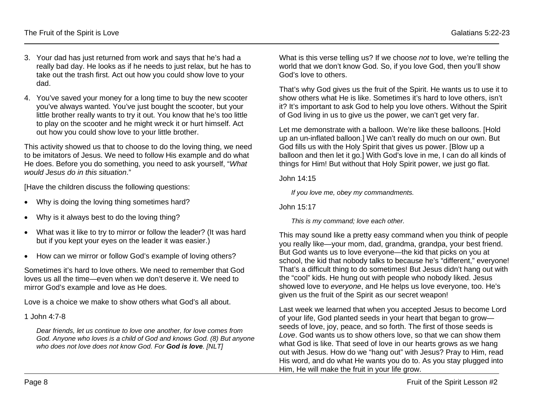- 3. Your dad has just returned from work and says that he's had a really bad day. He looks as if he needs to just relax, but he has to take out the trash first. Act out how you could show love to your dad.
- 4. You've saved your money for a long time to buy the new scooter you've always wanted. You've just bought the scooter, but your little brother really wants to try it out. You know that he's too little to play on the scooter and he might wreck it or hurt himself. Act out how you could show love to your little brother.

This activity showed us that to choose to do the loving thing, we need to be imitators of Jesus. We need to follow His example and do what He does. Before you do something, you need to ask yourself, "*What would Jesus do in this situation*."

[Have the children discuss the following questions:

- Why is doing the loving thing sometimes hard?
- Why is it always best to do the loving thing?
- What was it like to try to mirror or follow the leader? (It was hard but if you kept your eyes on the leader it was easier.)
- How can we mirror or follow God's example of loving others?

Sometimes it's hard to love others. We need to remember that God loves us all the time—even when we don't deserve it. We need to mirror God's example and love as He does.

Love is a choice we make to show others what God's all about.

1 John 4:7-8

*Dear friends, let us continue to love one another, for love comes from God. Anyone who loves is a child of God and knows God. (8) But anyone who does not love does not know God. For God is love. [NLT]*

What is this verse telling us? If we choose *not* to love, we're telling the world that we don't know God. So, if you love God, then you'll show God's love to others.

That's why God gives us the fruit of the Spirit. He wants us to use it to show others what He is like. Sometimes it's hard to love others, isn't it? It's important to ask God to help you love others. Without the Spirit of God living in us to give us the power, we can't get very far.

Let me demonstrate with a balloon. We're like these balloons. [Hold up an un-inflated balloon.] We can't really do much on our own. But God fills us with the Holy Spirit that gives us power. [Blow up a balloon and then let it go.] With God's love in me, I can do all kinds of things for Him! But without that Holy Spirit power, we just go flat.

John 14:15

*If you love me, obey my commandments.*

John 15:17

*This is my command; love each other.*

This may sound like a pretty easy command when you think of people you really like—your mom, dad, grandma, grandpa, your best friend. But God wants us to love everyone—the kid that picks on you at school, the kid that nobody talks to because he's "different," everyone! That's a difficult thing to do sometimes! But Jesus didn't hang out with the "cool" kids. He hung out with people who nobody liked. Jesus showed love to *everyone*, and He helps us love everyone, too. He's given us the fruit of the Spirit as our secret weapon!

Last week we learned that when you accepted Jesus to become Lord of your life, God planted seeds in your heart that began to grow seeds of love, joy, peace, and so forth. The first of those seeds is *Love*. God wants us to show others love, so that we can show them what God is like. That seed of love in our hearts grows as we hang out with Jesus. How do we "hang out" with Jesus? Pray to Him, read His word, and do what He wants you do to. As you stay plugged into Him, He will make the fruit in your life grow.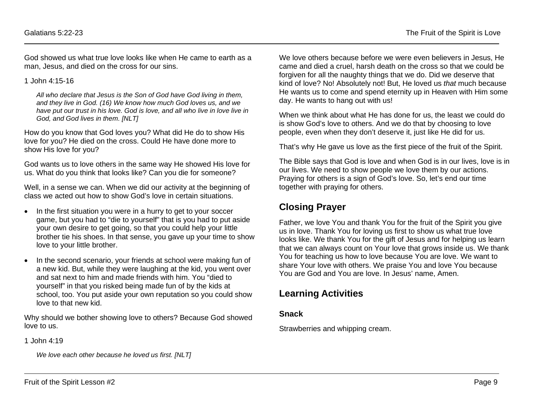God showed us what true love looks like when He came to earth as a man, Jesus, and died on the cross for our sins.

1 John 4:15-16

*All who declare that Jesus is the Son of God have God living in them, and they live in God. (16) We know how much God loves us, and we have put our trust in his love. God is love, and all who live in love live in God, and God lives in them. [NLT]*

How do you know that God loves you? What did He do to show His love for you? He died on the cross. Could He have done more to show His love for you?

God wants us to love others in the same way He showed His love for us. What do you think that looks like? Can you die for someone?

Well, in a sense we can. When we did our activity at the beginning of class we acted out how to show God's love in certain situations.

- In the first situation you were in a hurry to get to your soccer game, but you had to "die to yourself" that is you had to put aside your own desire to get going, so that you could help your little brother tie his shoes. In that sense, you gave up your time to show love to your little brother.
- In the second scenario, your friends at school were making fun of a new kid. But, while they were laughing at the kid, you went over and sat next to him and made friends with him. You "died to yourself" in that you risked being made fun of by the kids at school, too. You put aside your own reputation so you could show love to that new kid.

Why should we bother showing love to others? Because God showed love to us.

1 John 4:19

*We love each other because he loved us first. [NLT]*

We love others because before we were even believers in Jesus, He came and died a cruel, harsh death on the cross so that we could be forgiven for all the naughty things that we do. Did we deserve that kind of love? No! Absolutely not! But, He loved us *that* much because He wants us to come and spend eternity up in Heaven with Him some day. He wants to hang out with us!

When we think about what He has done for us, the least we could do is show God's love to others. And we do that by choosing to love people, even when they don't deserve it, just like He did for us.

That's why He gave us love as the first piece of the fruit of the Spirit.

The Bible says that God is love and when God is in our lives, love is in our lives. We need to show people we love them by our actions. Praying for others is a sign of God's love. So, let's end our time together with praying for others.

### **Closing Prayer**

Father, we love You and thank You for the fruit of the Spirit you give us in love. Thank You for loving us first to show us what true love looks like. We thank You for the gift of Jesus and for helping us learn that we can always count on Your love that grows inside us. We thank You for teaching us how to love because You are love. We want to share Your love with others. We praise You and love You because You are God and You are love. In Jesus' name, Amen.

## **Learning Activities**

#### **Snack**

Strawberries and whipping cream.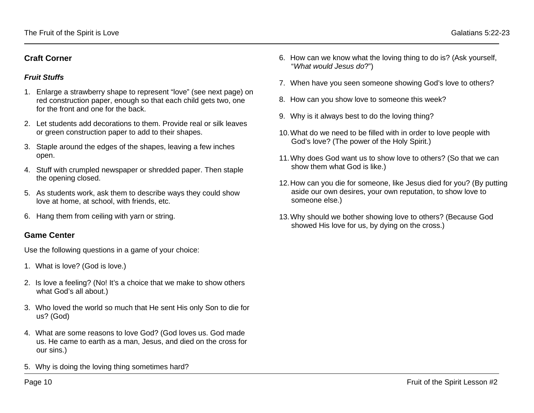#### **Craft Corner**

#### *Fruit Stuffs*

- 1. Enlarge a strawberry shape to represent "love" (see next page) on red construction paper, enough so that each child gets two, one for the front and one for the back.
- 2. Let students add decorations to them. Provide real or silk leaves or green construction paper to add to their shapes.
- 3. Staple around the edges of the shapes, leaving a few inches open.
- 4. Stuff with crumpled newspaper or shredded paper. Then staple the opening closed.
- 5. As students work, ask them to describe ways they could show love at home, at school, with friends, etc.
- 6. Hang them from ceiling with yarn or string.

#### **Game Center**

Use the following questions in a game of your choice:

- 1. What is love? (God is love.)
- 2. Is love a feeling? (No! It's a choice that we make to show others what God's all about.)
- 3. Who loved the world so much that He sent His only Son to die for us? (God)
- 4. What are some reasons to love God? (God loves us. God made us. He came to earth as a man, Jesus, and died on the cross for our sins.)
- 5. Why is doing the loving thing sometimes hard?
- 6. How can we know what the loving thing to do is? (Ask yourself, "*What would Jesus do*?")
- 7. When have you seen someone showing God's love to others?
- 8. How can you show love to someone this week?
- 9. Why is it always best to do the loving thing?
- 10.What do we need to be filled with in order to love people with God's love? (The power of the Holy Spirit.)
- 11.Why does God want us to show love to others? (So that we can show them what God is like.)
- 12.How can you die for someone, like Jesus died for you? (By putting aside our own desires, your own reputation, to show love to someone else.)
- 13.Why should we bother showing love to others? (Because God showed His love for us, by dying on the cross.)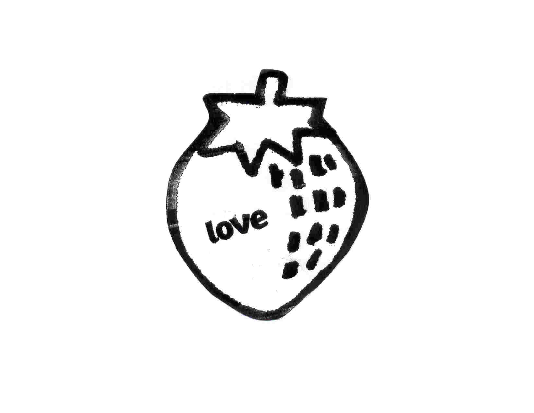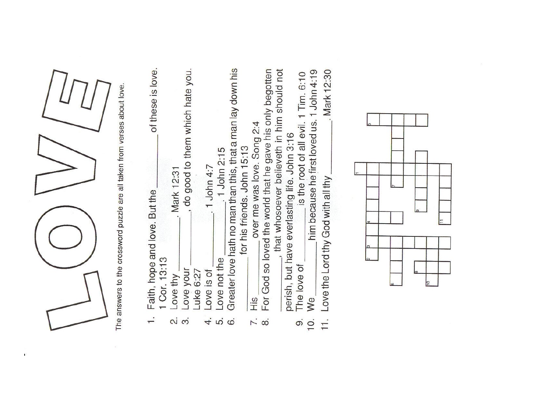

 $\Gamma$ 

The answers to the crossword puzzle are all taken from verses about love.